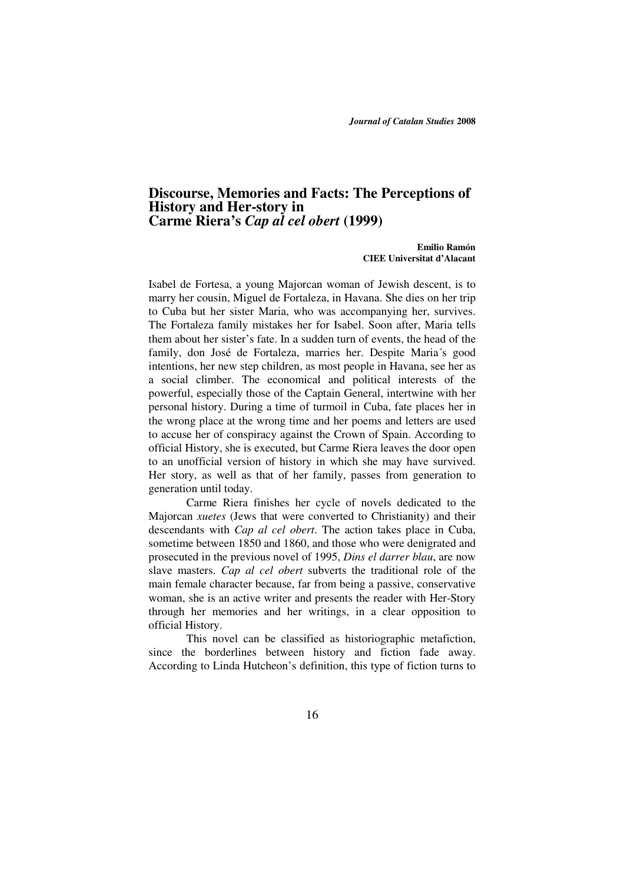## **Discourse, Memories and Facts: The Perceptions of History and Her-story in Carme Riera's** *Cap al cel obert* **(1999)**

**Emilio Ramón CIEE Universitat d'Alacant** 

Isabel de Fortesa, a young Majorcan woman of Jewish descent, is to marry her cousin, Miguel de Fortaleza, in Havana. She dies on her trip to Cuba but her sister Maria, who was accompanying her, survives. The Fortaleza family mistakes her for Isabel. Soon after, Maria tells them about her sister's fate. In a sudden turn of events, the head of the family, don José de Fortaleza, marries her. Despite Maria´s good intentions, her new step children, as most people in Havana, see her as a social climber. The economical and political interests of the powerful, especially those of the Captain General, intertwine with her personal history. During a time of turmoil in Cuba, fate places her in the wrong place at the wrong time and her poems and letters are used to accuse her of conspiracy against the Crown of Spain. According to official History, she is executed, but Carme Riera leaves the door open to an unofficial version of history in which she may have survived. Her story, as well as that of her family, passes from generation to generation until today.

Carme Riera finishes her cycle of novels dedicated to the Majorcan *xuetes* (Jews that were converted to Christianity) and their descendants with *Cap al cel obert*. The action takes place in Cuba, sometime between 1850 and 1860, and those who were denigrated and prosecuted in the previous novel of 1995, *Dins el darrer blau*, are now slave masters. *Cap al cel obert* subverts the traditional role of the main female character because, far from being a passive, conservative woman, she is an active writer and presents the reader with Her-Story through her memories and her writings, in a clear opposition to official History.

This novel can be classified as historiographic metafiction, since the borderlines between history and fiction fade away. According to Linda Hutcheon's definition, this type of fiction turns to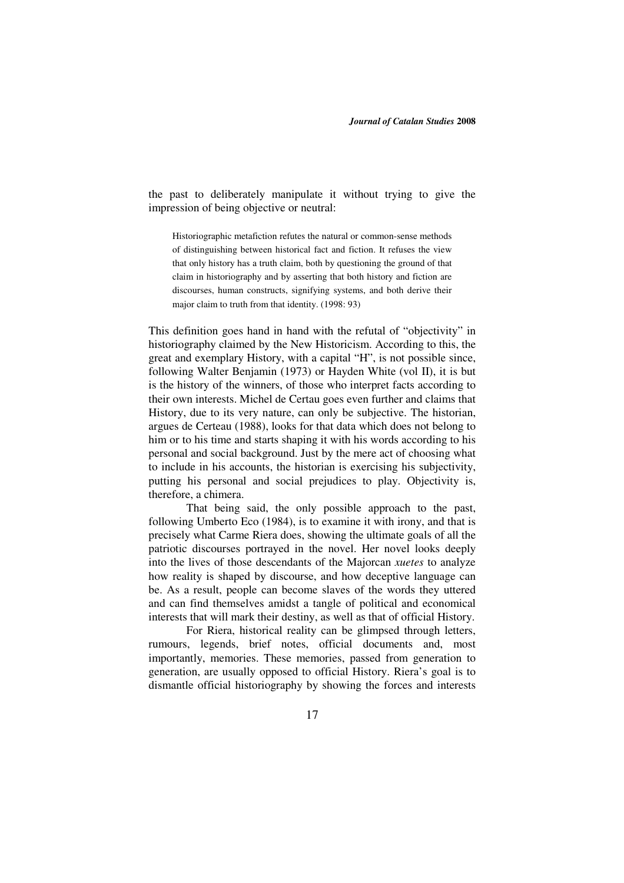the past to deliberately manipulate it without trying to give the impression of being objective or neutral:

Historiographic metafiction refutes the natural or common-sense methods of distinguishing between historical fact and fiction. It refuses the view that only history has a truth claim, both by questioning the ground of that claim in historiography and by asserting that both history and fiction are discourses, human constructs, signifying systems, and both derive their major claim to truth from that identity. (1998: 93)

This definition goes hand in hand with the refutal of "objectivity" in historiography claimed by the New Historicism. According to this, the great and exemplary History, with a capital "H", is not possible since, following Walter Benjamin (1973) or Hayden White (vol II), it is but is the history of the winners, of those who interpret facts according to their own interests. Michel de Certau goes even further and claims that History, due to its very nature, can only be subjective. The historian, argues de Certeau (1988), looks for that data which does not belong to him or to his time and starts shaping it with his words according to his personal and social background. Just by the mere act of choosing what to include in his accounts, the historian is exercising his subjectivity, putting his personal and social prejudices to play. Objectivity is, therefore, a chimera.

That being said, the only possible approach to the past, following Umberto Eco (1984), is to examine it with irony, and that is precisely what Carme Riera does, showing the ultimate goals of all the patriotic discourses portrayed in the novel. Her novel looks deeply into the lives of those descendants of the Majorcan *xuetes* to analyze how reality is shaped by discourse, and how deceptive language can be. As a result, people can become slaves of the words they uttered and can find themselves amidst a tangle of political and economical interests that will mark their destiny, as well as that of official History.

 For Riera, historical reality can be glimpsed through letters, rumours, legends, brief notes, official documents and, most importantly, memories. These memories, passed from generation to generation, are usually opposed to official History. Riera's goal is to dismantle official historiography by showing the forces and interests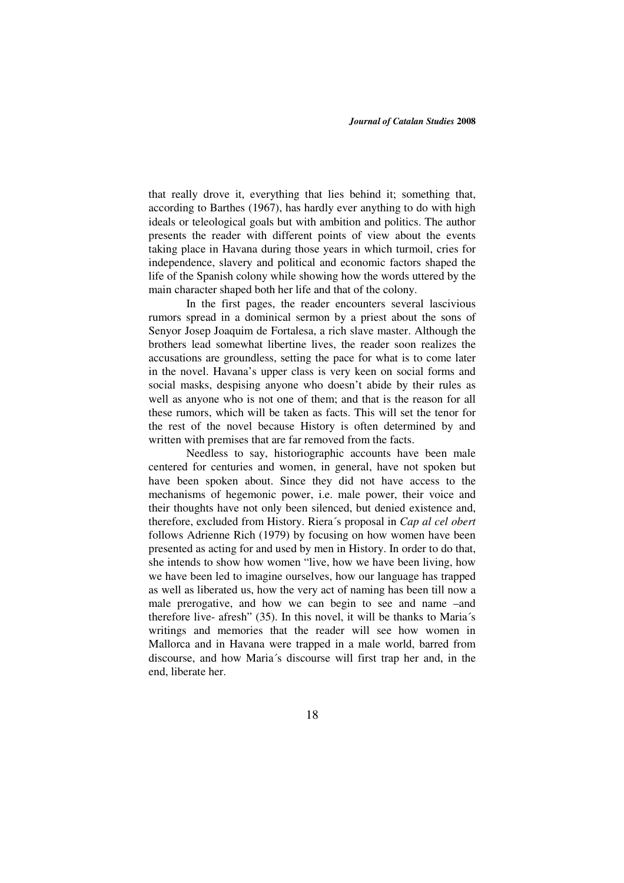that really drove it, everything that lies behind it; something that, according to Barthes (1967), has hardly ever anything to do with high ideals or teleological goals but with ambition and politics. The author presents the reader with different points of view about the events taking place in Havana during those years in which turmoil, cries for independence, slavery and political and economic factors shaped the life of the Spanish colony while showing how the words uttered by the main character shaped both her life and that of the colony.

 In the first pages, the reader encounters several lascivious rumors spread in a dominical sermon by a priest about the sons of Senyor Josep Joaquim de Fortalesa, a rich slave master. Although the brothers lead somewhat libertine lives, the reader soon realizes the accusations are groundless, setting the pace for what is to come later in the novel. Havana's upper class is very keen on social forms and social masks, despising anyone who doesn't abide by their rules as well as anyone who is not one of them; and that is the reason for all these rumors, which will be taken as facts. This will set the tenor for the rest of the novel because History is often determined by and written with premises that are far removed from the facts.

Needless to say, historiographic accounts have been male centered for centuries and women, in general, have not spoken but have been spoken about. Since they did not have access to the mechanisms of hegemonic power, i.e. male power, their voice and their thoughts have not only been silenced, but denied existence and, therefore, excluded from History. Riera´s proposal in *Cap al cel obert* follows Adrienne Rich (1979) by focusing on how women have been presented as acting for and used by men in History. In order to do that, she intends to show how women "live, how we have been living, how we have been led to imagine ourselves, how our language has trapped as well as liberated us, how the very act of naming has been till now a male prerogative, and how we can begin to see and name –and therefore live- afresh" (35). In this novel, it will be thanks to Maria´s writings and memories that the reader will see how women in Mallorca and in Havana were trapped in a male world, barred from discourse, and how Maria´s discourse will first trap her and, in the end, liberate her.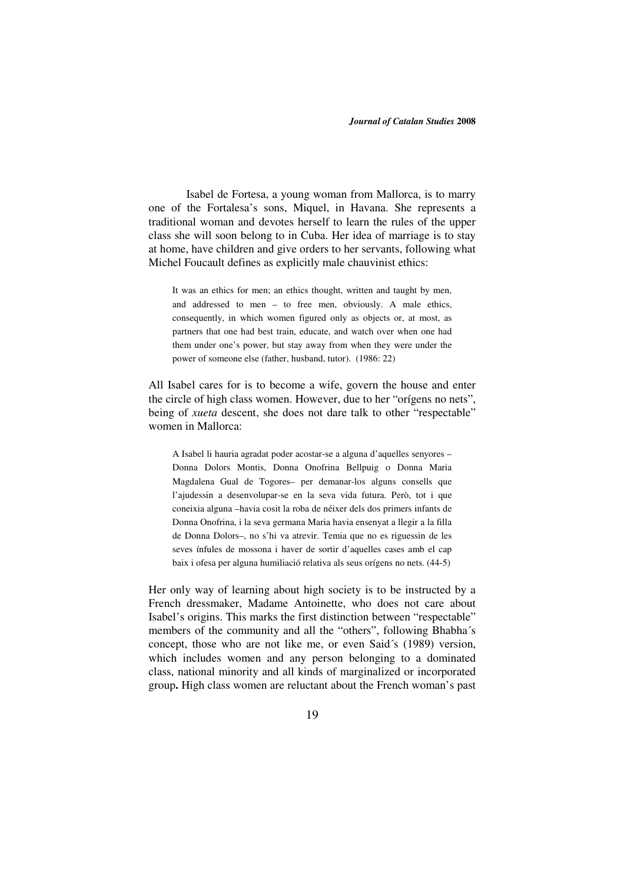Isabel de Fortesa, a young woman from Mallorca, is to marry one of the Fortalesa's sons, Miquel, in Havana. She represents a traditional woman and devotes herself to learn the rules of the upper class she will soon belong to in Cuba. Her idea of marriage is to stay at home, have children and give orders to her servants, following what Michel Foucault defines as explicitly male chauvinist ethics:

It was an ethics for men; an ethics thought, written and taught by men, and addressed to men – to free men, obviously. A male ethics, consequently, in which women figured only as objects or, at most, as partners that one had best train, educate, and watch over when one had them under one's power, but stay away from when they were under the power of someone else (father, husband, tutor). (1986: 22)

All Isabel cares for is to become a wife, govern the house and enter the circle of high class women. However, due to her "orígens no nets", being of *xueta* descent, she does not dare talk to other "respectable" women in Mallorca:

A Isabel li hauria agradat poder acostar-se a alguna d'aquelles senyores – Donna Dolors Montis, Donna Onofrina Bellpuig o Donna Maria Magdalena Gual de Togores– per demanar-los alguns consells que l'ajudessin a desenvolupar-se en la seva vida futura. Però, tot i que coneixia alguna –havia cosit la roba de néixer dels dos primers infants de Donna Onofrina, i la seva germana Maria havia ensenyat a llegir a la filla de Donna Dolors–, no s'hi va atrevir. Temia que no es riguessin de les seves ínfules de mossona i haver de sortir d'aquelles cases amb el cap baix i ofesa per alguna humiliació relativa als seus orígens no nets. (44-5)

Her only way of learning about high society is to be instructed by a French dressmaker, Madame Antoinette, who does not care about Isabel's origins. This marks the first distinction between "respectable" members of the community and all the "others", following Bhabha´s concept, those who are not like me, or even Said´s (1989) version, which includes women and any person belonging to a dominated class, national minority and all kinds of marginalized or incorporated group**.** High class women are reluctant about the French woman's past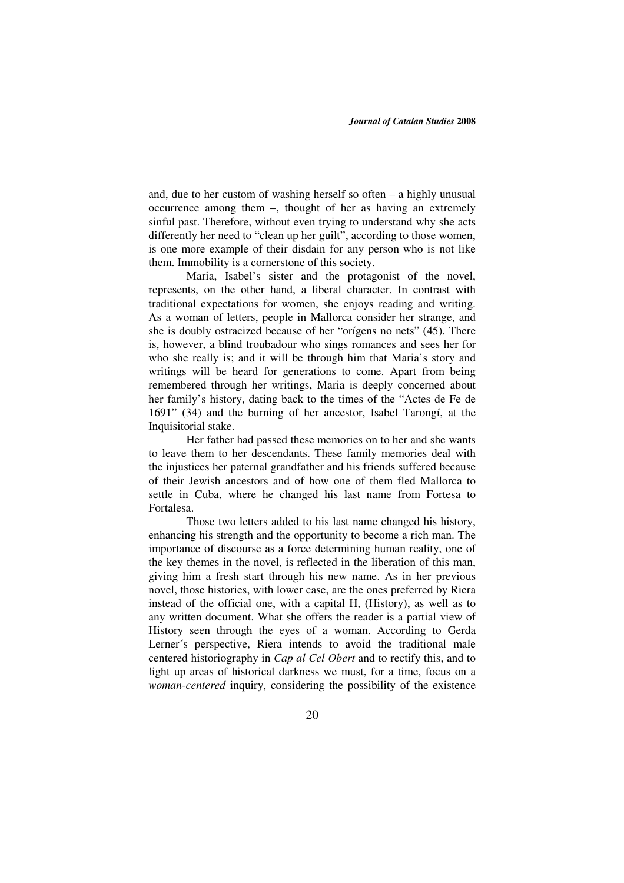and, due to her custom of washing herself so often – a highly unusual occurrence among them –, thought of her as having an extremely sinful past. Therefore, without even trying to understand why she acts differently her need to "clean up her guilt", according to those women, is one more example of their disdain for any person who is not like them. Immobility is a cornerstone of this society.

Maria, Isabel's sister and the protagonist of the novel, represents, on the other hand, a liberal character. In contrast with traditional expectations for women, she enjoys reading and writing. As a woman of letters, people in Mallorca consider her strange, and she is doubly ostracized because of her "orígens no nets" (45). There is, however, a blind troubadour who sings romances and sees her for who she really is; and it will be through him that Maria's story and writings will be heard for generations to come. Apart from being remembered through her writings, Maria is deeply concerned about her family's history, dating back to the times of the "Actes de Fe de 1691" (34) and the burning of her ancestor, Isabel Tarongí, at the Inquisitorial stake.

Her father had passed these memories on to her and she wants to leave them to her descendants. These family memories deal with the injustices her paternal grandfather and his friends suffered because of their Jewish ancestors and of how one of them fled Mallorca to settle in Cuba, where he changed his last name from Fortesa to Fortalesa.

Those two letters added to his last name changed his history, enhancing his strength and the opportunity to become a rich man. The importance of discourse as a force determining human reality, one of the key themes in the novel, is reflected in the liberation of this man, giving him a fresh start through his new name. As in her previous novel, those histories, with lower case, are the ones preferred by Riera instead of the official one, with a capital H, (History), as well as to any written document. What she offers the reader is a partial view of History seen through the eyes of a woman. According to Gerda Lerner´s perspective, Riera intends to avoid the traditional male centered historiography in *Cap al Cel Obert* and to rectify this, and to light up areas of historical darkness we must, for a time, focus on a *woman-centered* inquiry, considering the possibility of the existence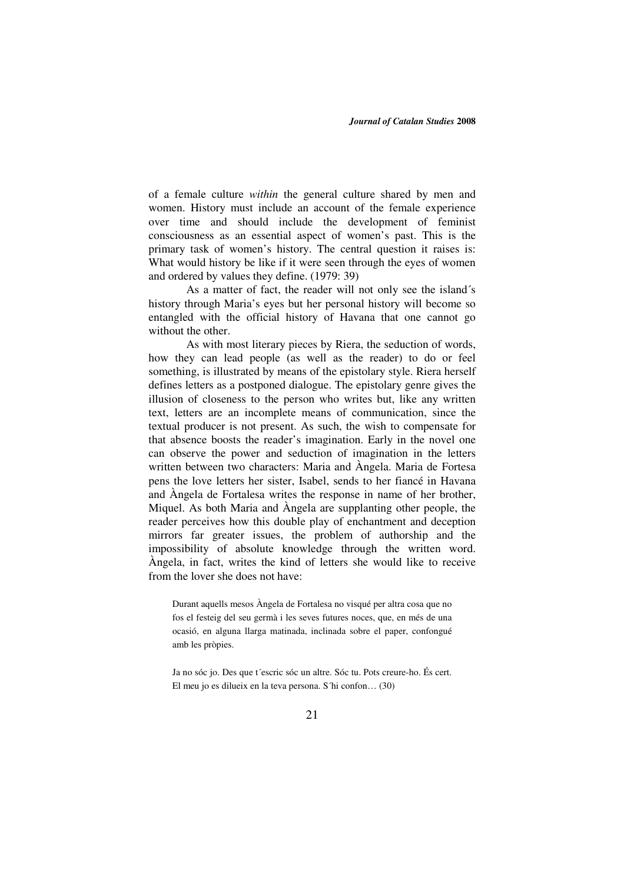of a female culture *within* the general culture shared by men and women. History must include an account of the female experience over time and should include the development of feminist consciousness as an essential aspect of women's past. This is the primary task of women's history. The central question it raises is: What would history be like if it were seen through the eyes of women and ordered by values they define. (1979: 39)

As a matter of fact, the reader will not only see the island´s history through Maria's eyes but her personal history will become so entangled with the official history of Havana that one cannot go without the other.

As with most literary pieces by Riera, the seduction of words, how they can lead people (as well as the reader) to do or feel something, is illustrated by means of the epistolary style. Riera herself defines letters as a postponed dialogue. The epistolary genre gives the illusion of closeness to the person who writes but, like any written text, letters are an incomplete means of communication, since the textual producer is not present. As such, the wish to compensate for that absence boosts the reader's imagination. Early in the novel one can observe the power and seduction of imagination in the letters written between two characters: Maria and Àngela. Maria de Fortesa pens the love letters her sister, Isabel, sends to her fiancé in Havana and Àngela de Fortalesa writes the response in name of her brother, Miquel. As both Maria and Àngela are supplanting other people, the reader perceives how this double play of enchantment and deception mirrors far greater issues, the problem of authorship and the impossibility of absolute knowledge through the written word. Àngela, in fact, writes the kind of letters she would like to receive from the lover she does not have:

Durant aquells mesos Àngela de Fortalesa no visqué per altra cosa que no fos el festeig del seu germà i les seves futures noces, que, en més de una ocasió, en alguna llarga matinada, inclinada sobre el paper, confongué amb les pròpies.

Ja no sóc jo. Des que t´escric sóc un altre. Sóc tu. Pots creure-ho. És cert. El meu jo es dilueix en la teva persona. S´hi confon… (30)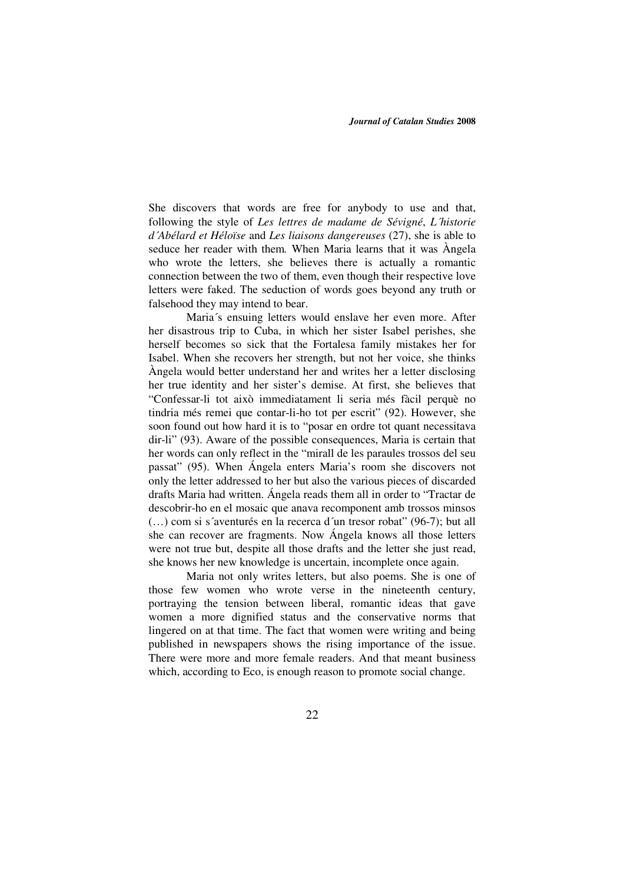She discovers that words are free for anybody to use and that, following the style of *Les lettres de madame de Sévigné*, *L´historie d´Abélard et Héloïse* and *Les liaisons dangereuses* (27), she is able to seduce her reader with them*.* When Maria learns that it was Àngela who wrote the letters, she believes there is actually a romantic connection between the two of them, even though their respective love letters were faked. The seduction of words goes beyond any truth or falsehood they may intend to bear.

Maria´s ensuing letters would enslave her even more. After her disastrous trip to Cuba, in which her sister Isabel perishes, she herself becomes so sick that the Fortalesa family mistakes her for Isabel. When she recovers her strength, but not her voice, she thinks Àngela would better understand her and writes her a letter disclosing her true identity and her sister's demise. At first, she believes that "Confessar-li tot això immediatament li seria més fàcil perquè no tindria més remei que contar-li-ho tot per escrit" (92). However, she soon found out how hard it is to "posar en ordre tot quant necessitava dir-li" (93). Aware of the possible consequences, Maria is certain that her words can only reflect in the "mirall de les paraules trossos del seu passat" (95). When Ángela enters Maria's room she discovers not only the letter addressed to her but also the various pieces of discarded drafts Maria had written. Ángela reads them all in order to "Tractar de descobrir-ho en el mosaic que anava recomponent amb trossos minsos (…) com si s´aventurés en la recerca d´un tresor robat" (96-7); but all she can recover are fragments. Now Ángela knows all those letters were not true but, despite all those drafts and the letter she just read, she knows her new knowledge is uncertain, incomplete once again.

Maria not only writes letters, but also poems. She is one of those few women who wrote verse in the nineteenth century, portraying the tension between liberal, romantic ideas that gave women a more dignified status and the conservative norms that lingered on at that time. The fact that women were writing and being published in newspapers shows the rising importance of the issue. There were more and more female readers. And that meant business which, according to Eco, is enough reason to promote social change.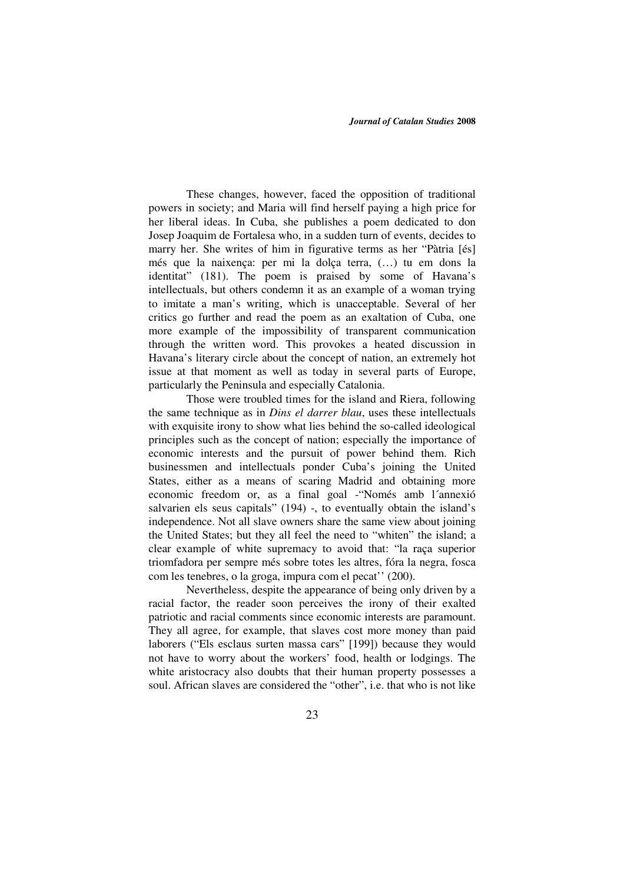These changes, however, faced the opposition of traditional powers in society; and Maria will find herself paying a high price for her liberal ideas. In Cuba, she publishes a poem dedicated to don Josep Joaquim de Fortalesa who, in a sudden turn of events, decides to marry her. She writes of him in figurative terms as her "Pàtria [és] més que la naixença: per mi la dolça terra, (…) tu em dons la identitat" (181). The poem is praised by some of Havana's intellectuals, but others condemn it as an example of a woman trying to imitate a man's writing, which is unacceptable. Several of her critics go further and read the poem as an exaltation of Cuba, one more example of the impossibility of transparent communication through the written word. This provokes a heated discussion in Havana's literary circle about the concept of nation, an extremely hot issue at that moment as well as today in several parts of Europe, particularly the Peninsula and especially Catalonia.

Those were troubled times for the island and Riera, following the same technique as in *Dins el darrer blau*, uses these intellectuals with exquisite irony to show what lies behind the so-called ideological principles such as the concept of nation; especially the importance of economic interests and the pursuit of power behind them. Rich businessmen and intellectuals ponder Cuba's joining the United States, either as a means of scaring Madrid and obtaining more economic freedom or, as a final goal -"Només amb l´annexió salvarien els seus capitals" (194) -, to eventually obtain the island's independence. Not all slave owners share the same view about joining the United States; but they all feel the need to "whiten" the island; a clear example of white supremacy to avoid that: "la raça superior triomfadora per sempre més sobre totes les altres, fóra la negra, fosca com les tenebres, o la groga, impura com el pecat'' (200).

Nevertheless, despite the appearance of being only driven by a racial factor, the reader soon perceives the irony of their exalted patriotic and racial comments since economic interests are paramount. They all agree, for example, that slaves cost more money than paid laborers ("Els esclaus surten massa cars" [199]) because they would not have to worry about the workers' food, health or lodgings. The white aristocracy also doubts that their human property possesses a soul. African slaves are considered the "other", i.e. that who is not like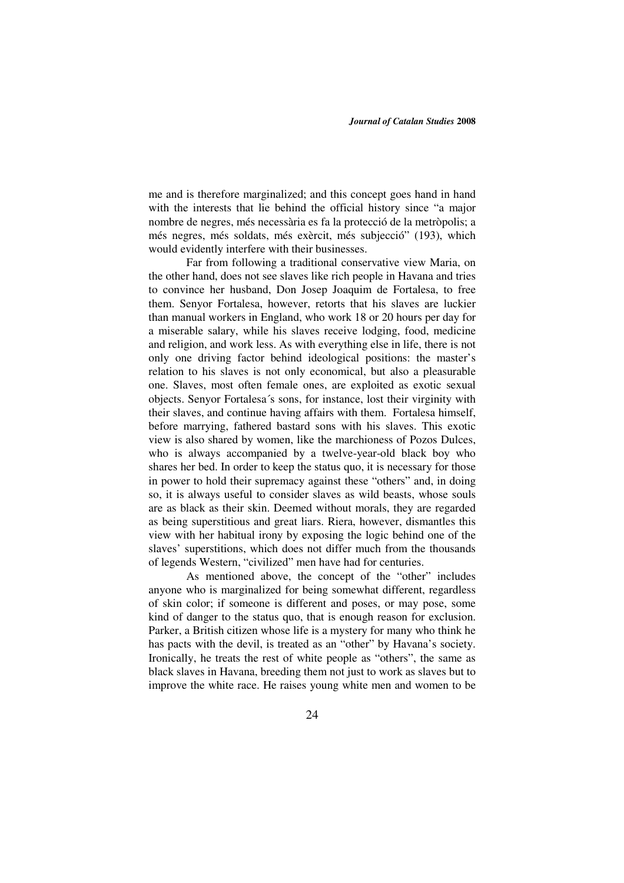me and is therefore marginalized; and this concept goes hand in hand with the interests that lie behind the official history since "a major nombre de negres, més necessària es fa la protecció de la metròpolis; a més negres, més soldats, més exèrcit, més subjecció" (193), which would evidently interfere with their businesses.

Far from following a traditional conservative view Maria, on the other hand, does not see slaves like rich people in Havana and tries to convince her husband, Don Josep Joaquim de Fortalesa, to free them. Senyor Fortalesa, however, retorts that his slaves are luckier than manual workers in England, who work 18 or 20 hours per day for a miserable salary, while his slaves receive lodging, food, medicine and religion, and work less. As with everything else in life, there is not only one driving factor behind ideological positions: the master's relation to his slaves is not only economical, but also a pleasurable one. Slaves, most often female ones, are exploited as exotic sexual objects. Senyor Fortalesa´s sons, for instance, lost their virginity with their slaves, and continue having affairs with them. Fortalesa himself, before marrying, fathered bastard sons with his slaves. This exotic view is also shared by women, like the marchioness of Pozos Dulces, who is always accompanied by a twelve-year-old black boy who shares her bed. In order to keep the status quo, it is necessary for those in power to hold their supremacy against these "others" and, in doing so, it is always useful to consider slaves as wild beasts, whose souls are as black as their skin. Deemed without morals, they are regarded as being superstitious and great liars. Riera, however, dismantles this view with her habitual irony by exposing the logic behind one of the slaves' superstitions, which does not differ much from the thousands of legends Western, "civilized" men have had for centuries.

As mentioned above, the concept of the "other" includes anyone who is marginalized for being somewhat different, regardless of skin color; if someone is different and poses, or may pose, some kind of danger to the status quo, that is enough reason for exclusion. Parker, a British citizen whose life is a mystery for many who think he has pacts with the devil, is treated as an "other" by Havana's society. Ironically, he treats the rest of white people as "others", the same as black slaves in Havana, breeding them not just to work as slaves but to improve the white race. He raises young white men and women to be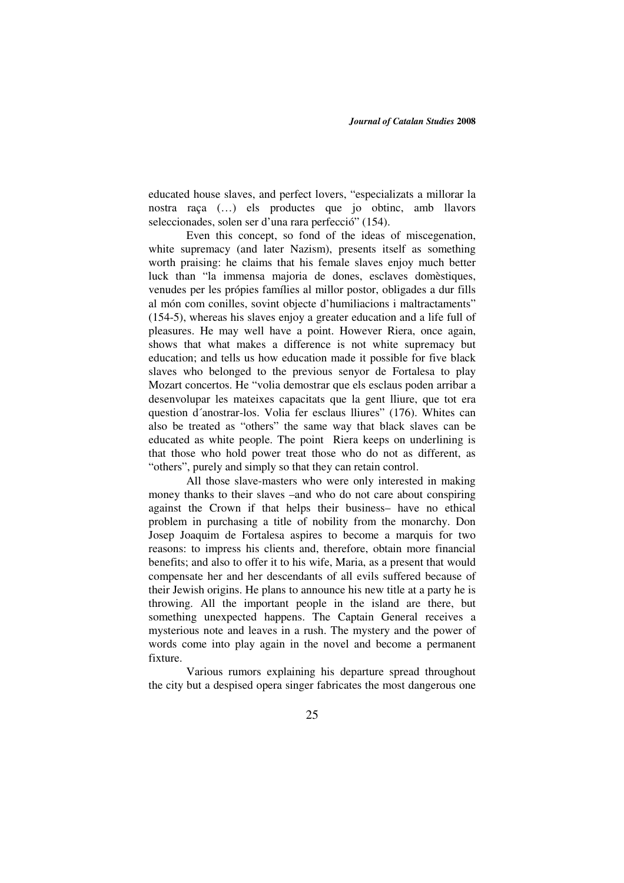educated house slaves, and perfect lovers, "especializats a millorar la nostra raça (…) els productes que jo obtinc, amb llavors seleccionades, solen ser d'una rara perfecció" (154).

Even this concept, so fond of the ideas of miscegenation, white supremacy (and later Nazism), presents itself as something worth praising: he claims that his female slaves enjoy much better luck than "la immensa majoria de dones, esclaves domèstiques, venudes per les própies famílies al millor postor, obligades a dur fills al món com conilles, sovint objecte d'humiliacions i maltractaments" (154-5), whereas his slaves enjoy a greater education and a life full of pleasures. He may well have a point. However Riera, once again, shows that what makes a difference is not white supremacy but education; and tells us how education made it possible for five black slaves who belonged to the previous senyor de Fortalesa to play Mozart concertos. He "volia demostrar que els esclaus poden arribar a desenvolupar les mateixes capacitats que la gent lliure, que tot era question d´anostrar-los. Volia fer esclaus lliures" (176). Whites can also be treated as "others" the same way that black slaves can be educated as white people. The point Riera keeps on underlining is that those who hold power treat those who do not as different, as "others", purely and simply so that they can retain control.

All those slave-masters who were only interested in making money thanks to their slaves –and who do not care about conspiring against the Crown if that helps their business– have no ethical problem in purchasing a title of nobility from the monarchy. Don Josep Joaquim de Fortalesa aspires to become a marquis for two reasons: to impress his clients and, therefore, obtain more financial benefits; and also to offer it to his wife, Maria, as a present that would compensate her and her descendants of all evils suffered because of their Jewish origins. He plans to announce his new title at a party he is throwing. All the important people in the island are there, but something unexpected happens. The Captain General receives a mysterious note and leaves in a rush. The mystery and the power of words come into play again in the novel and become a permanent fixture.

Various rumors explaining his departure spread throughout the city but a despised opera singer fabricates the most dangerous one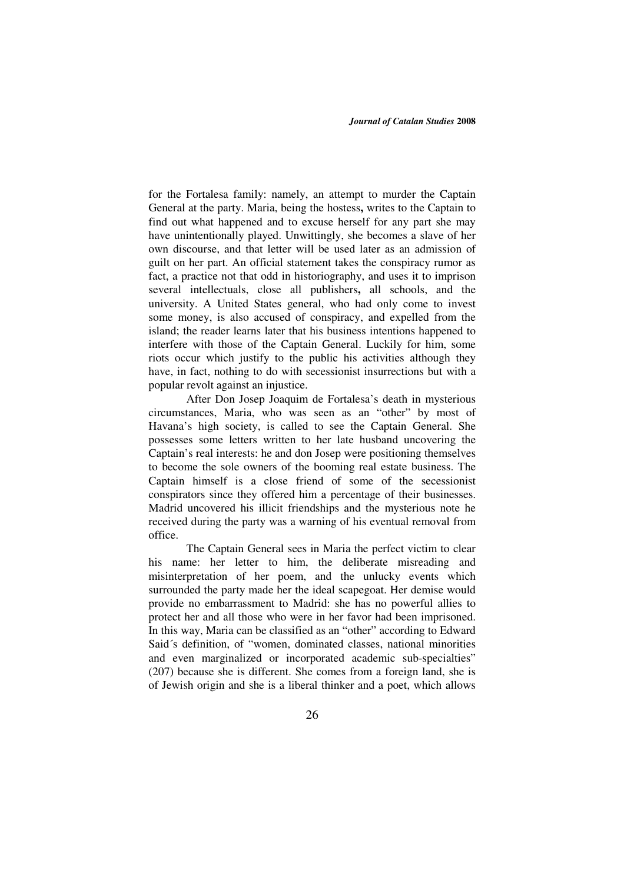for the Fortalesa family: namely, an attempt to murder the Captain General at the party. Maria, being the hostess**,** writes to the Captain to find out what happened and to excuse herself for any part she may have unintentionally played. Unwittingly, she becomes a slave of her own discourse, and that letter will be used later as an admission of guilt on her part. An official statement takes the conspiracy rumor as fact, a practice not that odd in historiography, and uses it to imprison several intellectuals, close all publishers**,** all schools, and the university. A United States general, who had only come to invest some money, is also accused of conspiracy, and expelled from the island; the reader learns later that his business intentions happened to interfere with those of the Captain General. Luckily for him, some riots occur which justify to the public his activities although they have, in fact, nothing to do with secessionist insurrections but with a popular revolt against an injustice.

After Don Josep Joaquim de Fortalesa's death in mysterious circumstances, Maria, who was seen as an "other" by most of Havana's high society, is called to see the Captain General. She possesses some letters written to her late husband uncovering the Captain's real interests: he and don Josep were positioning themselves to become the sole owners of the booming real estate business. The Captain himself is a close friend of some of the secessionist conspirators since they offered him a percentage of their businesses. Madrid uncovered his illicit friendships and the mysterious note he received during the party was a warning of his eventual removal from office.

The Captain General sees in Maria the perfect victim to clear his name: her letter to him, the deliberate misreading and misinterpretation of her poem, and the unlucky events which surrounded the party made her the ideal scapegoat. Her demise would provide no embarrassment to Madrid: she has no powerful allies to protect her and all those who were in her favor had been imprisoned. In this way, Maria can be classified as an "other" according to Edward Said´s definition, of "women, dominated classes, national minorities and even marginalized or incorporated academic sub-specialties" (207) because she is different. She comes from a foreign land, she is of Jewish origin and she is a liberal thinker and a poet, which allows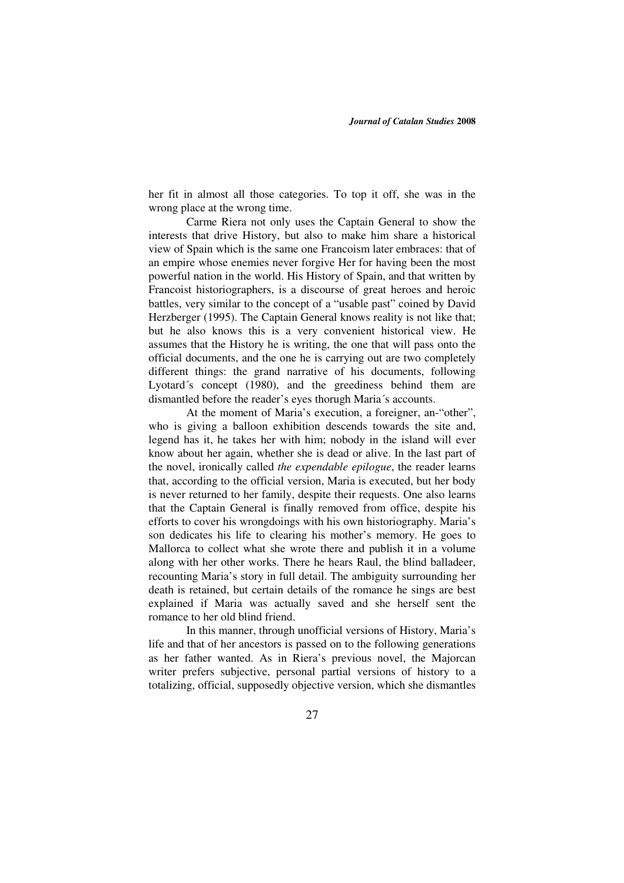her fit in almost all those categories. To top it off, she was in the wrong place at the wrong time.

Carme Riera not only uses the Captain General to show the interests that drive History, but also to make him share a historical view of Spain which is the same one Francoism later embraces: that of an empire whose enemies never forgive Her for having been the most powerful nation in the world. His History of Spain, and that written by Francoist historiographers, is a discourse of great heroes and heroic battles, very similar to the concept of a "usable past" coined by David Herzberger (1995). The Captain General knows reality is not like that; but he also knows this is a very convenient historical view. He assumes that the History he is writing, the one that will pass onto the official documents, and the one he is carrying out are two completely different things: the grand narrative of his documents, following Lyotard´s concept (1980), and the greediness behind them are dismantled before the reader's eyes thorugh Maria´s accounts.

At the moment of Maria's execution, a foreigner, an-"other", who is giving a balloon exhibition descends towards the site and, legend has it, he takes her with him; nobody in the island will ever know about her again, whether she is dead or alive. In the last part of the novel, ironically called *the expendable epilogue*, the reader learns that, according to the official version, Maria is executed, but her body is never returned to her family, despite their requests. One also learns that the Captain General is finally removed from office, despite his efforts to cover his wrongdoings with his own historiography. Maria's son dedicates his life to clearing his mother's memory. He goes to Mallorca to collect what she wrote there and publish it in a volume along with her other works. There he hears Raul, the blind balladeer, recounting Maria's story in full detail. The ambiguity surrounding her death is retained, but certain details of the romance he sings are best explained if Maria was actually saved and she herself sent the romance to her old blind friend.

In this manner, through unofficial versions of History, Maria's life and that of her ancestors is passed on to the following generations as her father wanted. As in Riera's previous novel, the Majorcan writer prefers subjective, personal partial versions of history to a totalizing, official, supposedly objective version, which she dismantles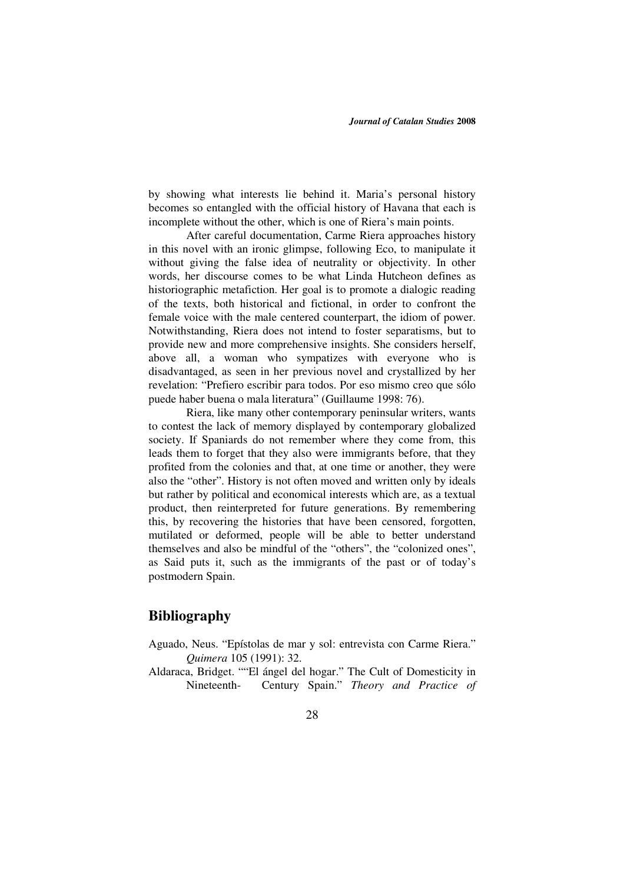by showing what interests lie behind it. Maria's personal history becomes so entangled with the official history of Havana that each is incomplete without the other, which is one of Riera's main points.

After careful documentation, Carme Riera approaches history in this novel with an ironic glimpse, following Eco, to manipulate it without giving the false idea of neutrality or objectivity. In other words, her discourse comes to be what Linda Hutcheon defines as historiographic metafiction. Her goal is to promote a dialogic reading of the texts, both historical and fictional, in order to confront the female voice with the male centered counterpart, the idiom of power. Notwithstanding, Riera does not intend to foster separatisms, but to provide new and more comprehensive insights. She considers herself, above all, a woman who sympatizes with everyone who is disadvantaged, as seen in her previous novel and crystallized by her revelation: "Prefiero escribir para todos. Por eso mismo creo que sólo puede haber buena o mala literatura" (Guillaume 1998: 76).

Riera, like many other contemporary peninsular writers, wants to contest the lack of memory displayed by contemporary globalized society. If Spaniards do not remember where they come from, this leads them to forget that they also were immigrants before, that they profited from the colonies and that, at one time or another, they were also the "other". History is not often moved and written only by ideals but rather by political and economical interests which are, as a textual product, then reinterpreted for future generations. By remembering this, by recovering the histories that have been censored, forgotten, mutilated or deformed, people will be able to better understand themselves and also be mindful of the "others", the "colonized ones", as Said puts it, such as the immigrants of the past or of today's postmodern Spain.

## **Bibliography**

- Aguado, Neus. "Epístolas de mar y sol: entrevista con Carme Riera." *Quimera* 105 (1991): 32.
- Aldaraca, Bridget. ""El ángel del hogar." The Cult of Domesticity in Nineteenth- Century Spain." *Theory and Practice of*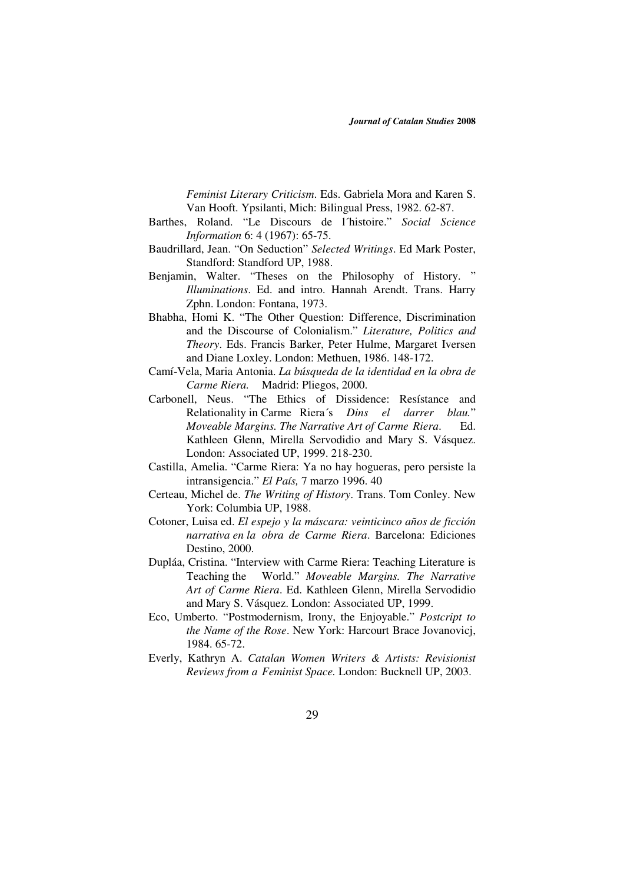*Feminist Literary Criticism*. Eds. Gabriela Mora and Karen S. Van Hooft. Ypsilanti, Mich: Bilingual Press, 1982. 62-87.

- Barthes, Roland. "Le Discours de l´histoire." *Social Science Information* 6: 4 (1967): 65-75.
- Baudrillard, Jean. "On Seduction" *Selected Writings*. Ed Mark Poster, Standford: Standford UP, 1988.
- Benjamin, Walter. "Theses on the Philosophy of History. " *Illuminations*. Ed. and intro. Hannah Arendt. Trans. Harry Zphn. London: Fontana, 1973.
- Bhabha, Homi K. "The Other Question: Difference, Discrimination and the Discourse of Colonialism." *Literature, Politics and Theory*. Eds. Francis Barker, Peter Hulme, Margaret Iversen and Diane Loxley. London: Methuen, 1986. 148-172.
- Camí-Vela, Maria Antonia. *La búsqueda de la identidad en la obra de Carme Riera.* Madrid: Pliegos, 2000.
- Carbonell, Neus. "The Ethics of Dissidence: Resístance and Relationality in Carme Riera´s *Dins el darrer blau.*" *Moveable Margins. The Narrative Art of Carme Riera*. Ed. Kathleen Glenn, Mirella Servodidio and Mary S. Vásquez. London: Associated UP, 1999. 218-230.
- Castilla, Amelia. "Carme Riera: Ya no hay hogueras, pero persiste la intransigencia." *El País,* 7 marzo 1996. 40
- Certeau, Michel de. *The Writing of History*. Trans. Tom Conley. New York: Columbia UP, 1988.
- Cotoner, Luisa ed. *El espejo y la máscara: veinticinco años de ficción narrativa en la obra de Carme Riera*. Barcelona: Ediciones Destino, 2000.
- Dupláa, Cristina. "Interview with Carme Riera: Teaching Literature is Teaching the World." *Moveable Margins. The Narrative Art of Carme Riera*. Ed. Kathleen Glenn, Mirella Servodidio and Mary S. Vásquez. London: Associated UP, 1999.
- Eco, Umberto. "Postmodernism, Irony, the Enjoyable." *Postcript to the Name of the Rose*. New York: Harcourt Brace Jovanovicj, 1984. 65-72.
- Everly, Kathryn A. *Catalan Women Writers & Artists: Revisionist Reviews from a Feminist Space.* London: Bucknell UP, 2003.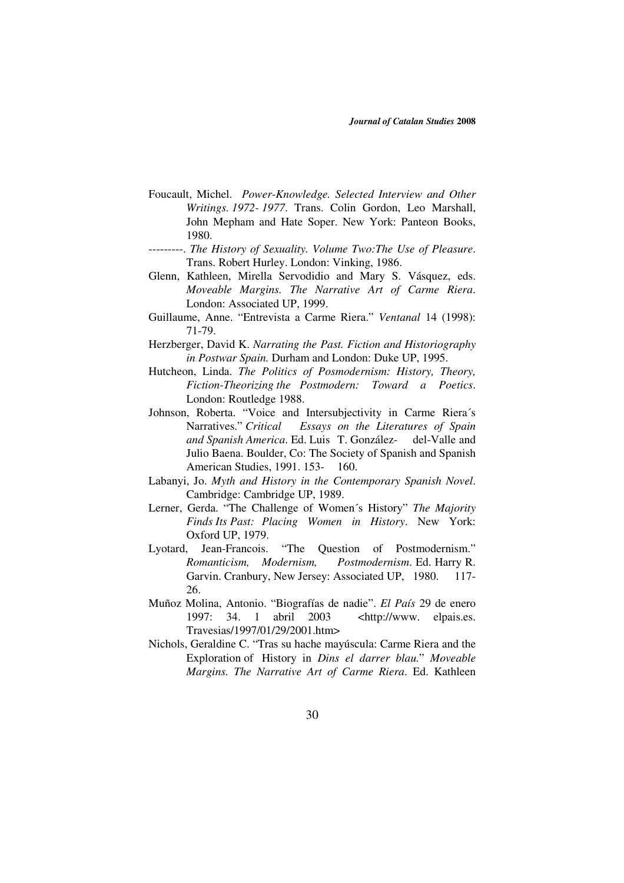- Foucault, Michel. *Power-Knowledge. Selected Interview and Other Writings. 1972- 1977*. Trans. Colin Gordon, Leo Marshall, John Mepham and Hate Soper. New York: Panteon Books, 1980.
- ---------. *The History of Sexuality. Volume Two:The Use of Pleasure*. Trans. Robert Hurley. London: Vinking, 1986.
- Glenn, Kathleen, Mirella Servodidio and Mary S. Vásquez, eds. *Moveable Margins. The Narrative Art of Carme Riera*. London: Associated UP, 1999.
- Guillaume, Anne. "Entrevista a Carme Riera." *Ventanal* 14 (1998): 71-79.
- Herzberger, David K. *Narrating the Past. Fiction and Historiography in Postwar Spain.* Durham and London: Duke UP, 1995.
- Hutcheon, Linda. *The Politics of Posmodernism: History, Theory, Fiction-Theorizing the Postmodern: Toward a Poetics*. London: Routledge 1988.
- Johnson, Roberta. "Voice and Intersubjectivity in Carme Riera´s Narratives." *Critical Essays on the Literatures of Spain and Spanish America*. Ed. Luis T. González- del-Valle and Julio Baena. Boulder, Co: The Society of Spanish and Spanish American Studies, 1991. 153- 160.
- Labanyi, Jo. *Myth and History in the Contemporary Spanish Novel*. Cambridge: Cambridge UP, 1989.
- Lerner, Gerda. "The Challenge of Women´s History" *The Majority Finds Its Past: Placing Women in History*. New York: Oxford UP, 1979.
- Lyotard, Jean-Francois. "The Question of Postmodernism." *Romanticism, Modernism, Postmodernism*. Ed. Harry R. Garvin. Cranbury, New Jersey: Associated UP, 1980. 117- 26.
- Muñoz Molina, Antonio. "Biografías de nadie". *El País* 29 de enero 1997: 34. 1 abril 2003 <http://www. elpais.es. Travesias/1997/01/29/2001.htm>
- Nichols, Geraldine C. "Tras su hache mayúscula: Carme Riera and the Exploration of History in *Dins el darrer blau.*" *Moveable Margins. The Narrative Art of Carme Riera*. Ed. Kathleen